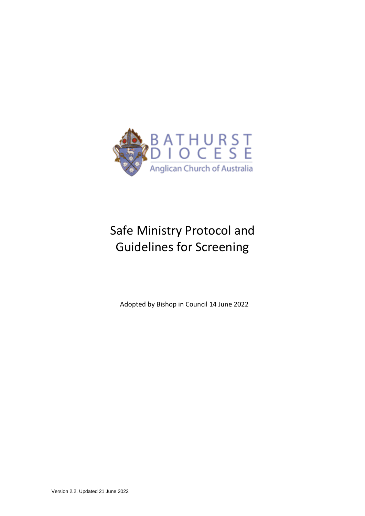

# Safe Ministry Protocol and Guidelines for Screening

Adopted by Bishop in Council 14 June 2022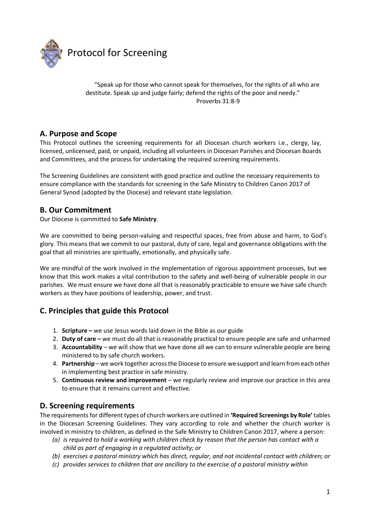

"Speak up for those who cannot speak for themselves, for the rights of all who are destitute. Speak up and judge fairly; defend the rights of the poor and needy." Proverbs 31:8-9

# **A. Purpose and Scope**

This Protocol outlines the screening requirements for all Diocesan church workers i.e., clergy, lay, licensed, unlicensed, paid, or unpaid, including all volunteers in Diocesan Parishes and Diocesan Boards and Committees, and the process for undertaking the required screening requirements.

The Screening Guidelines are consistent with good practice and outline the necessary requirements to ensure compliance with the standards for screening in the Safe Ministry to Children Canon 2017 of General Synod (adopted by the Diocese) and relevant state legislation.

## **B. Our Commitment**

Our Diocese is committed to **Safe Ministry**.

We are committed to being person-valuing and respectful spaces, free from abuse and harm, to God's glory. This means that we commit to our pastoral, duty of care, legal and governance obligations with the goal that all ministries are spiritually, emotionally, and physically safe.

We are mindful of the work involved in the implementation of rigorous appointment processes, but we know that this work makes a vital contribution to the safety and well-being of vulnerable people in our parishes. We must ensure we have done all that is reasonably practicable to ensure we have safe church workers as they have positions of leadership, power, and trust.

# **C. Principles that guide this Protocol**

- 1. **Scripture –** we use Jesus words laid down in the Bible as our guide
- 2. **Duty of care –** we must do all that is reasonably practical to ensure people are safe and unharmed
- 3. **Accountability**  we will show that we have done all we can to ensure vulnerable people are being ministered to by safe church workers.
- 4. **Partnership**  we work together across the Diocese to ensure we support and learn from each other in implementing best practice in safe ministry.
- 5. **Continuous review and improvement**  we regularly review and improve our practice in this area to ensure that it remains current and effective.

## **D. Screening requirements**

The requirements for different types of church workers are outlined in **'Required Screenings by Role'** tables in the Diocesan Screening Guidelines. They vary according to role and whether the church worker is involved in ministry to children, as defined in the Safe Ministry to Children Canon 2017, where a person:

- *(a) is required to hold a working with children check by reason that the person has contact with a child as part of engaging in a regulated activity; or*
- *(b) exercises a pastoral ministry which has direct, regular, and not incidental contact with children; or*
- *(c) provides services to children that are ancillary to the exercise of a pastoral ministry within*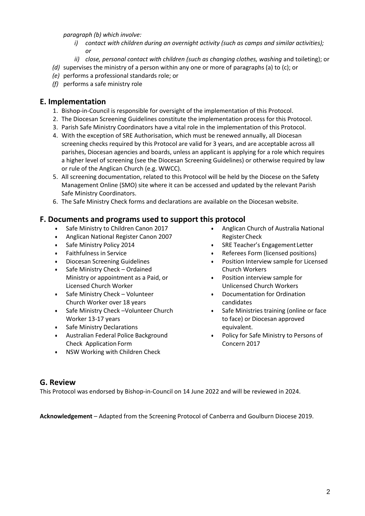*paragraph (b) which involve:*

- *i) contact with children during an overnight activity (such as camps and similar activities); or*
- *ii) close, personal contact with children (such as changing clothes, washing* and toileting); or
- *(d)* supervises the ministry of a person within any one or more of paragraphs (a) to (c); or
- *(e)* performs a professional standards role; or
- *(f)* performs a safe ministry role

### **E. Implementation**

- 1. Bishop-in-Council is responsible for oversight of the implementation of this Protocol.
- 2. The Diocesan Screening Guidelines constitute the implementation process for this Protocol.
- 3. Parish Safe Ministry Coordinators have a vital role in the implementation of this Protocol.
- 4. With the exception of SRE Authorisation, which must be renewed annually, all Diocesan screening checks required by this Protocol are valid for 3 years, and are acceptable across all parishes, Diocesan agencies and boards, unless an applicant is applying for a role which requires a higher level of screening (see the Diocesan Screening Guidelines) or otherwise required by law or rule of the Anglican Church (e.g. WWCC).
- 5. All screening documentation, related to this Protocol will be held by the Diocese on the Safety Management Online (SMO) site where it can be accessed and updated by the relevant Parish Safe Ministry Coordinators.
- 6. The Safe Ministry Check forms and declarations are available on the Diocesan website.

## **F. Documents and programs used to support this protocol**

- Safe Ministry to Children Canon 2017
- Anglican National Register Canon 2007
- Safe Ministry Policy 2014
- Faithfulness in Service
- Diocesan Screening Guidelines
- Safe Ministry Check Ordained Ministry or appointment as a Paid, or Licensed Church Worker
- Safe Ministry Check Volunteer Church Worker over 18 years
- Safe Ministry Check –Volunteer Church Worker 13-17 years
- Safe Ministry Declarations
- Australian Federal Police Background Check Application Form
- NSW Working with Children Check
- Anglican Church of Australia National RegisterCheck
- SRE Teacher's EngagementLetter
- Referees Form (licensed positions)
- Position Interview sample for Licensed Church Workers
- Position interview sample for Unlicensed Church Workers
- Documentation for Ordination candidates
- Safe Ministries training (online or face to face) or Diocesan approved equivalent.
- Policy for Safe Ministry to Persons of Concern 2017

### **G. Review**

This Protocol was endorsed by Bishop-in-Council on 14 June 2022 and will be reviewed in 2024.

**Acknowledgement** – Adapted from the Screening Protocol of Canberra and Goulburn Diocese 2019.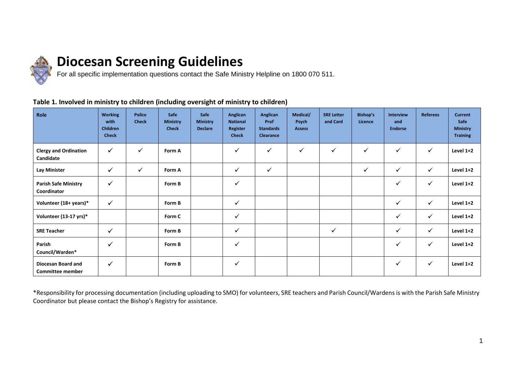

# **Diocesan Screening Guidelines**

For all specific implementation questions contact the Safe Ministry Helpline on 1800 070 511.

### **Table 1. Involved in ministry to children (including oversight of ministry to children)**

| Role                                          | <b>Working</b><br>with<br><b>Children</b><br><b>Check</b> | <b>Police</b><br><b>Check</b> | Safe<br><b>Ministry</b><br><b>Check</b> | Safe<br><b>Ministry</b><br><b>Declare</b> | Anglican<br><b>National</b><br>Register<br><b>Check</b> | Anglican<br>Prof<br><b>Standards</b><br>Clearance | Medical/<br>Psych<br><b>Assess</b> | <b>SRE Letter</b><br>and Card | <b>Bishop's</b><br>Licence | Interview<br>and<br><b>Endorse</b> | <b>Referees</b> | <b>Current</b><br>Safe<br><b>Ministry</b><br><b>Training</b> |
|-----------------------------------------------|-----------------------------------------------------------|-------------------------------|-----------------------------------------|-------------------------------------------|---------------------------------------------------------|---------------------------------------------------|------------------------------------|-------------------------------|----------------------------|------------------------------------|-----------------|--------------------------------------------------------------|
| <b>Clergy and Ordination</b><br>Candidate     | $\checkmark$                                              | $\checkmark$                  | Form A                                  |                                           | ✓                                                       | $\checkmark$                                      | $\checkmark$                       | ✓                             | $\checkmark$               | ✓                                  | $\checkmark$    | Level 1+2                                                    |
| Lay Minister                                  | $\checkmark$                                              | $\checkmark$                  | Form A                                  |                                           | $\checkmark$                                            | $\checkmark$                                      |                                    |                               | $\checkmark$               | ✓                                  | $\checkmark$    | Level 1+2                                                    |
| <b>Parish Safe Ministry</b><br>Coordinator    | $\checkmark$                                              |                               | Form B                                  |                                           | $\checkmark$                                            |                                                   |                                    |                               |                            | ✓                                  | $\checkmark$    | Level 1+2                                                    |
| Volunteer (18+ years)*                        | $\checkmark$                                              |                               | Form B                                  |                                           | $\checkmark$                                            |                                                   |                                    |                               |                            | ✓                                  | $\checkmark$    | Level 1+2                                                    |
| Volunteer (13-17 yrs)*                        |                                                           |                               | Form C                                  |                                           | ✓                                                       |                                                   |                                    |                               |                            | $\checkmark$                       | $\checkmark$    | Level 1+2                                                    |
| <b>SRE Teacher</b>                            | $\checkmark$                                              |                               | Form B                                  |                                           | ✓                                                       |                                                   |                                    | ✓                             |                            | $\checkmark$                       | $\checkmark$    | Level 1+2                                                    |
| Parish<br>Council/Warden*                     | $\checkmark$                                              |                               | Form B                                  |                                           | $\checkmark$                                            |                                                   |                                    |                               |                            | ✓                                  | $\checkmark$    | Level 1+2                                                    |
| Diocesan Board and<br><b>Committee member</b> | $\checkmark$                                              |                               | Form B                                  |                                           | $\checkmark$                                            |                                                   |                                    |                               |                            | ✓                                  | $\checkmark$    | Level 1+2                                                    |

\*Responsibility for processing documentation (including uploading to SMO) for volunteers, SRE teachers and Parish Council/Wardens is with the Parish Safe Ministry Coordinator but please contact the Bishop's Registry for assistance.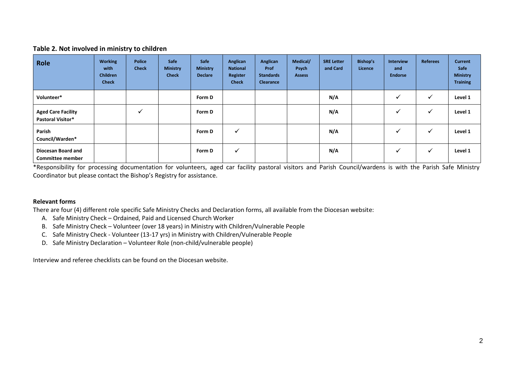#### **Table 2. Not involved in ministry to children**

| Role                                                  | <b>Working</b><br>with<br><b>Children</b><br><b>Check</b> | <b>Police</b><br><b>Check</b> | Safe<br><b>Ministry</b><br><b>Check</b> | Safe<br><b>Ministry</b><br><b>Declare</b> | Anglican<br><b>National</b><br>Register<br><b>Check</b> | Anglican<br>Prof<br><b>Standards</b><br>Clearance | Medical/<br>Psych<br><b>Assess</b> | <b>SRE Letter</b><br>and Card | Bishop's<br>Licence | <b>Interview</b><br>and<br><b>Endorse</b> | <b>Referees</b> | <b>Current</b><br>Safe<br><b>Ministry</b><br><b>Training</b> |
|-------------------------------------------------------|-----------------------------------------------------------|-------------------------------|-----------------------------------------|-------------------------------------------|---------------------------------------------------------|---------------------------------------------------|------------------------------------|-------------------------------|---------------------|-------------------------------------------|-----------------|--------------------------------------------------------------|
| Volunteer*                                            |                                                           |                               |                                         | Form D                                    |                                                         |                                                   |                                    | N/A                           |                     | v                                         | $\checkmark$    | Level 1                                                      |
| <b>Aged Care Facility</b><br><b>Pastoral Visitor*</b> |                                                           |                               |                                         | Form D                                    |                                                         |                                                   |                                    | N/A                           |                     | ✔                                         | $\checkmark$    | Level 1                                                      |
| Parish<br>Council/Warden*                             |                                                           |                               |                                         | Form D                                    | v                                                       |                                                   |                                    | N/A                           |                     | ✓                                         | ✓               | Level 1                                                      |
| Diocesan Board and<br><b>Committee member</b>         |                                                           |                               |                                         | Form D                                    | v                                                       |                                                   |                                    | N/A                           |                     | ✓                                         | $\checkmark$    | Level 1                                                      |

\*Responsibility for processing documentation for volunteers, aged car facility pastoral visitors and Parish Council/wardens is with the Parish Safe Ministry Coordinator but please contact the Bishop's Registry for assistance.

#### **Relevant forms**

There are four (4) different role specific Safe Ministry Checks and Declaration forms, all available from the Diocesan website:

- A. Safe Ministry Check Ordained, Paid and Licensed Church Worker
- B. Safe Ministry Check Volunteer (over 18 years) in Ministry with Children/Vulnerable People
- C. Safe Ministry Check Volunteer (13-17 yrs) in Ministry with Children/Vulnerable People
- D. Safe Ministry Declaration Volunteer Role (non-child/vulnerable people)

Interview and referee checklists can be found on the Diocesan website.